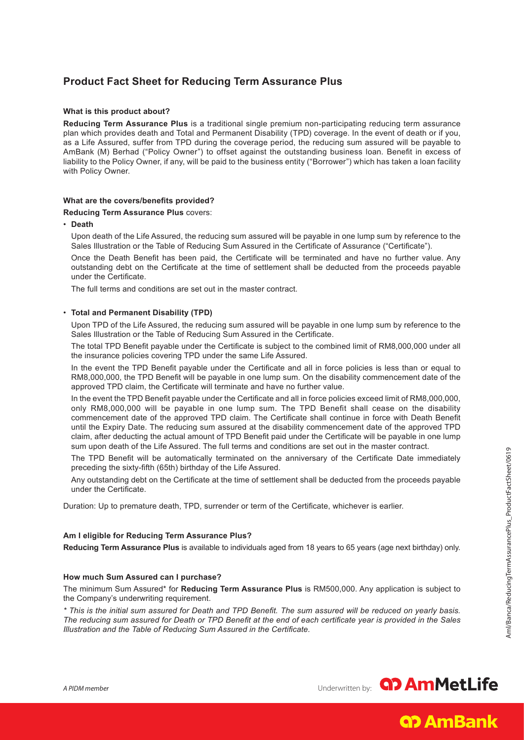# **Product Fact Sheet for Reducing Term Assurance Plus**

## **What is this product about?**

**Reducing Term Assurance Plus** is a traditional single premium non-participating reducing term assurance plan which provides death and Total and Permanent Disability (TPD) coverage. In the event of death or if you, as a Life Assured, suffer from TPD during the coverage period, the reducing sum assured will be payable to AmBank (M) Berhad ("Policy Owner") to offset against the outstanding business loan. Benefit in excess of liability to the Policy Owner, if any, will be paid to the business entity ("Borrower") which has taken a loan facility with Policy Owner.

# **What are the covers/benefits provided?**

#### **Reducing Term Assurance Plus** covers:

• **Death**

 Upon death of the Life Assured, the reducing sum assured will be payable in one lump sum by reference to the Sales Illustration or the Table of Reducing Sum Assured in the Certificate of Assurance ("Certificate").

Once the Death Benefit has been paid, the Certificate will be terminated and have no further value. Any outstanding debt on the Certificate at the time of settlement shall be deducted from the proceeds payable under the Certificate.

The full terms and conditions are set out in the master contract.

## • **Total and Permanent Disability (TPD)**

Upon TPD of the Life Assured, the reducing sum assured will be payable in one lump sum by reference to the Sales Illustration or the Table of Reducing Sum Assured in the Certificate.

The total TPD Benefit payable under the Certificate is subject to the combined limit of RM8,000,000 under all the insurance policies covering TPD under the same Life Assured.

In the event the TPD Benefit payable under the Certificate and all in force policies is less than or equal to RM8,000,000, the TPD Benefit will be payable in one lump sum. On the disability commencement date of the approved TPD claim, the Certificate will terminate and have no further value.

In the event the TPD Benefit payable under the Certificate and all in force policies exceed limit of RM8,000,000, only RM8,000,000 will be payable in one lump sum. The TPD Benefit shall cease on the disability commencement date of the approved TPD claim. The Certificate shall continue in force with Death Benefit until the Expiry Date. The reducing sum assured at the disability commencement date of the approved TPD claim, after deducting the actual amount of TPD Benefit paid under the Certificate will be payable in one lump sum upon death of the Life Assured. The full terms and conditions are set out in the master contract.

The TPD Benefit will be automatically terminated on the anniversary of the Certificate Date immediately preceding the sixty-fifth (65th) birthday of the Life Assured.

Any outstanding debt on the Certificate at the time of settlement shall be deducted from the proceeds payable under the Certificate.

Duration: Up to premature death, TPD, surrender or term of the Certificate, whichever is earlier.

# **Am I eligible for Reducing Term Assurance Plus?**

**Reducing Term Assurance Plus** is available to individuals aged from 18 years to 65 years (age next birthday) only.

#### **How much Sum Assured can I purchase?**

The minimum Sum Assured\* for **Reducing Term Assurance Plus** is RM500,000. Any application is subject to the Company's underwriting requirement.

*\* This is the initial sum assured for Death and TPD Benefit. The sum assured will be reduced on yearly basis. The reducing sum assured for Death or TPD Benefit at the end of each certificate year is provided in the Sales Illustration and the Table of Reducing Sum Assured in the Certificate.*

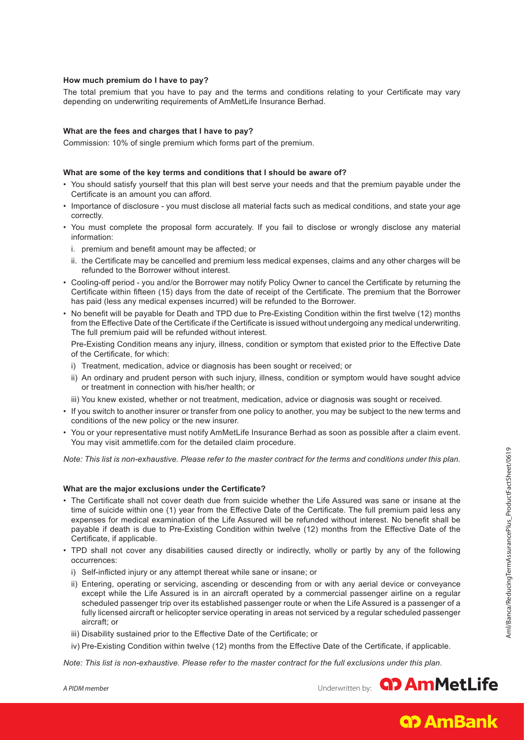# **How much premium do I have to pay?**

The total premium that you have to pay and the terms and conditions relating to your Certificate may vary depending on underwriting requirements of AmMetLife Insurance Berhad.

## **What are the fees and charges that I have to pay?**

Commission: 10% of single premium which forms part of the premium.

### **What are some of the key terms and conditions that I should be aware of?**

- You should satisfy yourself that this plan will best serve your needs and that the premium payable under the Certificate is an amount you can afford.
- Importance of disclosure you must disclose all material facts such as medical conditions, and state your age correctly.
- You must complete the proposal form accurately. If you fail to disclose or wrongly disclose any material information:
	- i. premium and benefit amount may be affected; or
	- ii. the Certificate may be cancelled and premium less medical expenses, claims and any other charges will be refunded to the Borrower without interest.
- Cooling-off period you and/or the Borrower may notify Policy Owner to cancel the Certificate by returning the Certificate within fifteen (15) days from the date of receipt of the Certificate. The premium that the Borrower has paid (less any medical expenses incurred) will be refunded to the Borrower.
- No benefit will be payable for Death and TPD due to Pre-Existing Condition within the first twelve (12) months from the Effective Date of the Certificate if the Certificate is issued without undergoing any medical underwriting. The full premium paid will be refunded without interest.

Pre-Existing Condition means any injury, illness, condition or symptom that existed prior to the Effective Date of the Certificate, for which:

- i) Treatment, medication, advice or diagnosis has been sought or received; or
- ii) An ordinary and prudent person with such injury, illness, condition or symptom would have sought advice or treatment in connection with his/her health; or
- iii) You knew existed, whether or not treatment, medication, advice or diagnosis was sought or received.
- If you switch to another insurer or transfer from one policy to another, you may be subject to the new terms and conditions of the new policy or the new insurer.
- You or your representative must notify AmMetLife Insurance Berhad as soon as possible after a claim event. You may visit ammetlife.com for the detailed claim procedure.

*Note: This list is non-exhaustive. Please refer to the master contract for the terms and conditions under this plan.*

#### **What are the major exclusions under the Certificate?**

- The Certificate shall not cover death due from suicide whether the Life Assured was sane or insane at the time of suicide within one (1) year from the Effective Date of the Certificate. The full premium paid less any expenses for medical examination of the Life Assured will be refunded without interest. No benefit shall be payable if death is due to Pre-Existing Condition within twelve (12) months from the Effective Date of the Certificate, if applicable.
- TPD shall not cover any disabilities caused directly or indirectly, wholly or partly by any of the following occurrences:
	- i) Self-inflicted injury or any attempt thereat while sane or insane; or
	- ii) Entering, operating or servicing, ascending or descending from or with any aerial device or conveyance except while the Life Assured is in an aircraft operated by a commercial passenger airline on a regular scheduled passenger trip over its established passenger route or when the Life Assured is a passenger of a fully licensed aircraft or helicopter service operating in areas not serviced by a regular scheduled passenger aircraft; or
	- iii) Disability sustained prior to the Effective Date of the Certificate; or
	- iv) Pre-Existing Condition within twelve (12) months from the Effective Date of the Certificate, if applicable.

*Note: This list is non-exhaustive. Please refer to the master contract for the full exclusions under this plan.*

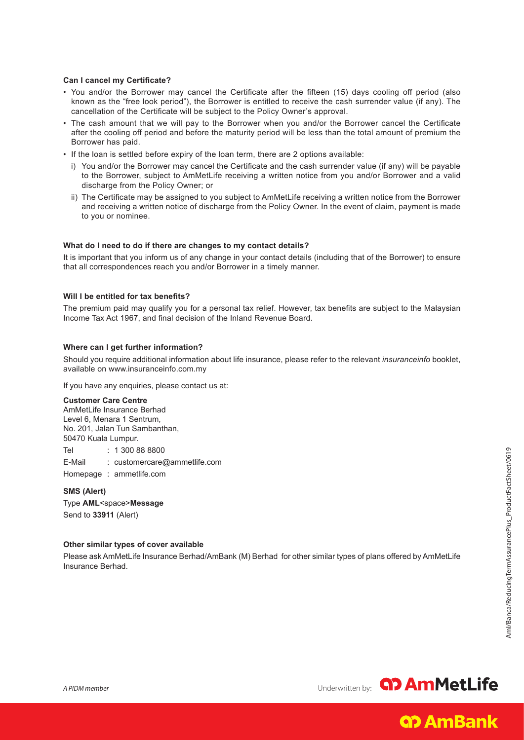#### **Can I cancel my Certificate?**

- You and/or the Borrower may cancel the Certificate after the fifteen (15) days cooling off period (also known as the "free look period"), the Borrower is entitled to receive the cash surrender value (if any). The cancellation of the Certificate will be subject to the Policy Owner's approval.
- The cash amount that we will pay to the Borrower when you and/or the Borrower cancel the Certificate after the cooling off period and before the maturity period will be less than the total amount of premium the Borrower has paid.
- If the loan is settled before expiry of the loan term, there are 2 options available:
	- i) You and/or the Borrower may cancel the Certificate and the cash surrender value (if any) will be payable to the Borrower, subject to AmMetLife receiving a written notice from you and/or Borrower and a valid discharge from the Policy Owner; or
	- ii) The Certificate may be assigned to you subject to AmMetLife receiving a written notice from the Borrower and receiving a written notice of discharge from the Policy Owner. In the event of claim, payment is made to you or nominee.

#### **What do I need to do if there are changes to my contact details?**

It is important that you inform us of any change in your contact details (including that of the Borrower) to ensure that all correspondences reach you and/or Borrower in a timely manner.

## **Will I be entitled for tax benefits?**

The premium paid may qualify you for a personal tax relief. However, tax benefits are subject to the Malaysian Income Tax Act 1967, and final decision of the Inland Revenue Board.

## **Where can I get further information?**

Should you require additional information about life insurance, please refer to the relevant *insuranceinfo* booklet, available on www.insuranceinfo.com.my

If you have any enquiries, please contact us at:

#### **Customer Care Centre**

AmMetLife Insurance Berhad Level 6, Menara 1 Sentrum, No. 201, Jalan Tun Sambanthan, 50470 Kuala Lumpur.

Tel : 1 300 88 8800

E-Mail : customercare@ammetlife.com

Homepage : ammetlife.com

**SMS (Alert)** Type **AML**<space>**Message** Send to **33911** (Alert)

#### **Other similar types of cover available**

Please ask AmMetLife Insurance Berhad/AmBank (M) Berhad for other similar types of plans offered by AmMetLife Insurance Berhad.

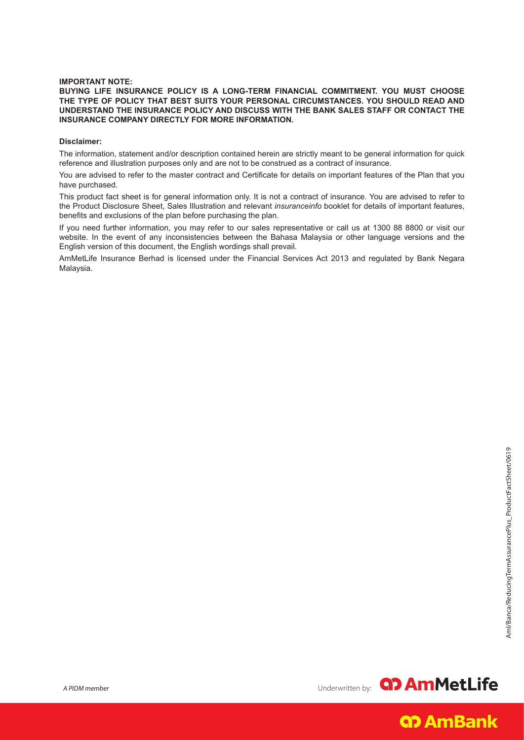## **IMPORTANT NOTE:**

### **BUYING LIFE INSURANCE POLICY IS A LONG-TERM FINANCIAL COMMITMENT. YOU MUST CHOOSE THE TYPE OF POLICY THAT BEST SUITS YOUR PERSONAL CIRCUMSTANCES. YOU SHOULD READ AND UNDERSTAND THE INSURANCE POLICY AND DISCUSS WITH THE BANK SALES STAFF OR CONTACT THE INSURANCE COMPANY DIRECTLY FOR MORE INFORMATION.**

### **Disclaimer:**

The information, statement and/or description contained herein are strictly meant to be general information for quick reference and illustration purposes only and are not to be construed as a contract of insurance.

You are advised to refer to the master contract and Certificate for details on important features of the Plan that you have purchased.

This product fact sheet is for general information only. It is not a contract of insurance. You are advised to refer to the Product Disclosure Sheet, Sales Illustration and relevant *insuranceinfo* booklet for details of important features, benefits and exclusions of the plan before purchasing the plan.

If you need further information, you may refer to our sales representative or call us at 1300 88 8800 or visit our website. In the event of any inconsistencies between the Bahasa Malaysia or other language versions and the English version of this document, the English wordings shall prevail.

AmMetLife Insurance Berhad is licensed under the Financial Services Act 2013 and regulated by Bank Negara Malaysia.

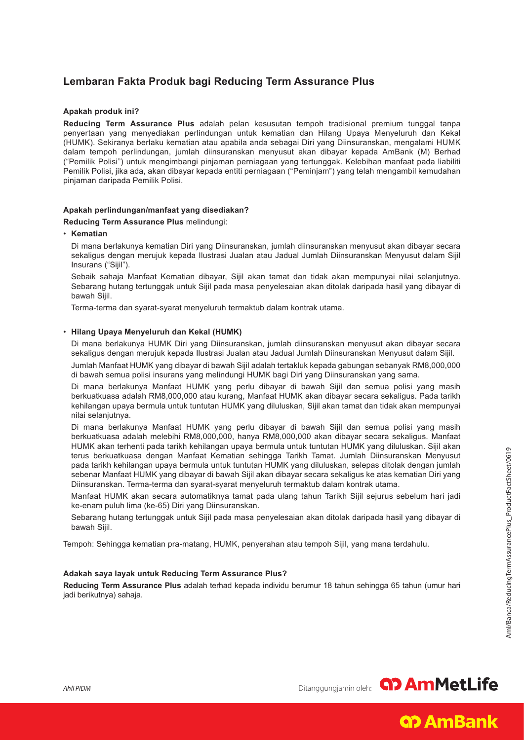# **Lembaran Fakta Produk bagi Reducing Term Assurance Plus**

# **Apakah produk ini?**

**Reducing Term Assurance Plus** adalah pelan kesusutan tempoh tradisional premium tunggal tanpa penyertaan yang menyediakan perlindungan untuk kematian dan Hilang Upaya Menyeluruh dan Kekal (HUMK). Sekiranya berlaku kematian atau apabila anda sebagai Diri yang Diinsuranskan, mengalami HUMK dalam tempoh perlindungan, jumlah diinsuranskan menyusut akan dibayar kepada AmBank (M) Berhad ("Pemilik Polisi") untuk mengimbangi pinjaman perniagaan yang tertunggak. Kelebihan manfaat pada liabiliti Pemilik Polisi, jika ada, akan dibayar kepada entiti perniagaan ("Peminjam") yang telah mengambil kemudahan pinjaman daripada Pemilik Polisi.

## **Apakah perlindungan/manfaat yang disediakan?**

**Reducing Term Assurance Plus** melindungi:

• **Kematian**

 Di mana berlakunya kematian Diri yang Diinsuranskan, jumlah diinsuranskan menyusut akan dibayar secara sekaligus dengan merujuk kepada Ilustrasi Jualan atau Jadual Jumlah Diinsuranskan Menyusut dalam Sijil Insurans ("Sijil").

 Sebaik sahaja Manfaat Kematian dibayar, Sijil akan tamat dan tidak akan mempunyai nilai selanjutnya. Sebarang hutang tertunggak untuk Sijil pada masa penyelesaian akan ditolak daripada hasil yang dibayar di bawah Sijil.

Terma-terma dan syarat-syarat menyeluruh termaktub dalam kontrak utama.

#### • **Hilang Upaya Menyeluruh dan Kekal (HUMK)**

Di mana berlakunya HUMK Diri yang Diinsuranskan, jumlah diinsuranskan menyusut akan dibayar secara sekaligus dengan merujuk kepada Ilustrasi Jualan atau Jadual Jumlah Diinsuranskan Menyusut dalam Sijil.

Jumlah Manfaat HUMK yang dibayar di bawah Sijil adalah tertakluk kepada gabungan sebanyak RM8,000,000 di bawah semua polisi insurans yang melindungi HUMK bagi Diri yang Diinsuranskan yang sama.

Di mana berlakunya Manfaat HUMK yang perlu dibayar di bawah Sijil dan semua polisi yang masih berkuatkuasa adalah RM8,000,000 atau kurang, Manfaat HUMK akan dibayar secara sekaligus. Pada tarikh kehilangan upaya bermula untuk tuntutan HUMK yang diluluskan, Sijil akan tamat dan tidak akan mempunyai nilai selanjutnya.

Di mana berlakunya Manfaat HUMK yang perlu dibayar di bawah Sijil dan semua polisi yang masih berkuatkuasa adalah melebihi RM8,000,000, hanya RM8,000,000 akan dibayar secara sekaligus. Manfaat HUMK akan terhenti pada tarikh kehilangan upaya bermula untuk tuntutan HUMK yang diluluskan. Sijil akan terus berkuatkuasa dengan Manfaat Kematian sehingga Tarikh Tamat. Jumlah Diinsuranskan Menyusut pada tarikh kehilangan upaya bermula untuk tuntutan HUMK yang diluluskan, selepas ditolak dengan jumlah sebenar Manfaat HUMK yang dibayar di bawah Sijil akan dibayar secara sekaligus ke atas kematian Diri yang Diinsuranskan. Terma-terma dan syarat-syarat menyeluruh termaktub dalam kontrak utama.

Manfaat HUMK akan secara automatiknya tamat pada ulang tahun Tarikh Sijil sejurus sebelum hari jadi ke-enam puluh lima (ke-65) Diri yang Diinsuranskan.

Sebarang hutang tertunggak untuk Sijil pada masa penyelesaian akan ditolak daripada hasil yang dibayar di bawah Sijil.

Tempoh: Sehingga kematian pra-matang, HUMK, penyerahan atau tempoh Sijil, yang mana terdahulu.

#### **Adakah saya layak untuk Reducing Term Assurance Plus?**

**Reducing Term Assurance Plus** adalah terhad kepada individu berumur 18 tahun sehingga 65 tahun (umur hari jadi berikutnya) sahaja.

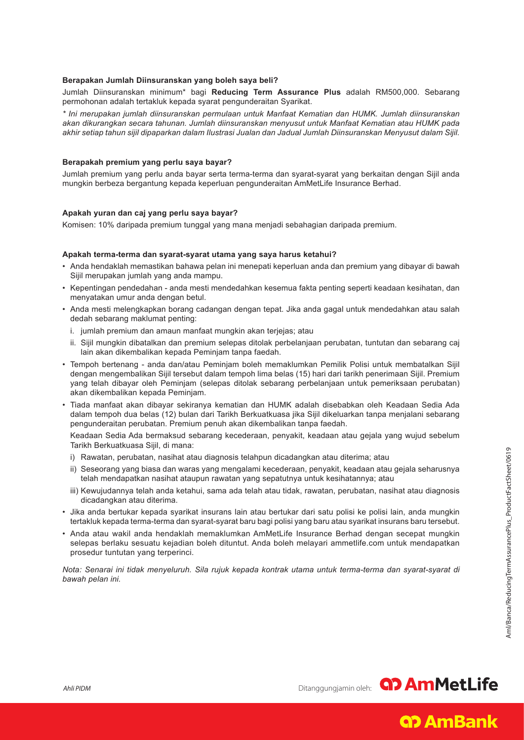## **Berapakan Jumlah Diinsuranskan yang boleh saya beli?**

Jumlah Diinsuranskan minimum\* bagi **Reducing Term Assurance Plus** adalah RM500,000. Sebarang permohonan adalah tertakluk kepada syarat pengunderaitan Syarikat.

*\* Ini merupakan jumlah diinsuranskan permulaan untuk Manfaat Kematian dan HUMK. Jumlah diinsuranskan akan dikurangkan secara tahunan. Jumlah diinsuranskan menyusut untuk Manfaat Kematian atau HUMK pada akhir setiap tahun sijil dipaparkan dalam Ilustrasi Jualan dan Jadual Jumlah Diinsuranskan Menyusut dalam Sijil.*

## **Berapakah premium yang perlu saya bayar?**

Jumlah premium yang perlu anda bayar serta terma-terma dan syarat-syarat yang berkaitan dengan Sijil anda mungkin berbeza bergantung kepada keperluan pengunderaitan AmMetLife Insurance Berhad.

## **Apakah yuran dan caj yang perlu saya bayar?**

Komisen: 10% daripada premium tunggal yang mana menjadi sebahagian daripada premium.

#### **Apakah terma-terma dan syarat-syarat utama yang saya harus ketahui?**

- Anda hendaklah memastikan bahawa pelan ini menepati keperluan anda dan premium yang dibayar di bawah Sijil merupakan jumlah yang anda mampu.
- Kepentingan pendedahan anda mesti mendedahkan kesemua fakta penting seperti keadaan kesihatan, dan menyatakan umur anda dengan betul.
- Anda mesti melengkapkan borang cadangan dengan tepat. Jika anda gagal untuk mendedahkan atau salah dedah sebarang maklumat penting:
	- i. jumlah premium dan amaun manfaat mungkin akan terjejas; atau
	- ii. Sijil mungkin dibatalkan dan premium selepas ditolak perbelanjaan perubatan, tuntutan dan sebarang caj lain akan dikembalikan kepada Peminjam tanpa faedah.
- Tempoh bertenang anda dan/atau Peminjam boleh memaklumkan Pemilik Polisi untuk membatalkan Sijil dengan mengembalikan Sijil tersebut dalam tempoh lima belas (15) hari dari tarikh penerimaan Sijil. Premium yang telah dibayar oleh Peminjam (selepas ditolak sebarang perbelanjaan untuk pemeriksaan perubatan) akan dikembalikan kepada Peminjam.
- Tiada manfaat akan dibayar sekiranya kematian dan HUMK adalah disebabkan oleh Keadaan Sedia Ada dalam tempoh dua belas (12) bulan dari Tarikh Berkuatkuasa jika Sijil dikeluarkan tanpa menjalani sebarang pengunderaitan perubatan. Premium penuh akan dikembalikan tanpa faedah.

 Keadaan Sedia Ada bermaksud sebarang kecederaan, penyakit, keadaan atau gejala yang wujud sebelum Tarikh Berkuatkuasa Sijil, di mana:

- i) Rawatan, perubatan, nasihat atau diagnosis telahpun dicadangkan atau diterima; atau
- ii) Seseorang yang biasa dan waras yang mengalami kecederaan, penyakit, keadaan atau gejala seharusnya telah mendapatkan nasihat ataupun rawatan yang sepatutnya untuk kesihatannya; atau
- iii) Kewujudannya telah anda ketahui, sama ada telah atau tidak, rawatan, perubatan, nasihat atau diagnosis dicadangkan atau diterima.
- Jika anda bertukar kepada syarikat insurans lain atau bertukar dari satu polisi ke polisi lain, anda mungkin tertakluk kepada terma-terma dan syarat-syarat baru bagi polisi yang baru atau syarikat insurans baru tersebut.
- Anda atau wakil anda hendaklah memaklumkan AmMetLife Insurance Berhad dengan secepat mungkin selepas berlaku sesuatu kejadian boleh dituntut. Anda boleh melayari ammetlife.com untuk mendapatkan prosedur tuntutan yang terperinci.

*Nota: Senarai ini tidak menyeluruh. Sila rujuk kepada kontrak utama untuk terma-terma dan syarat-syarat di bawah pelan ini.*

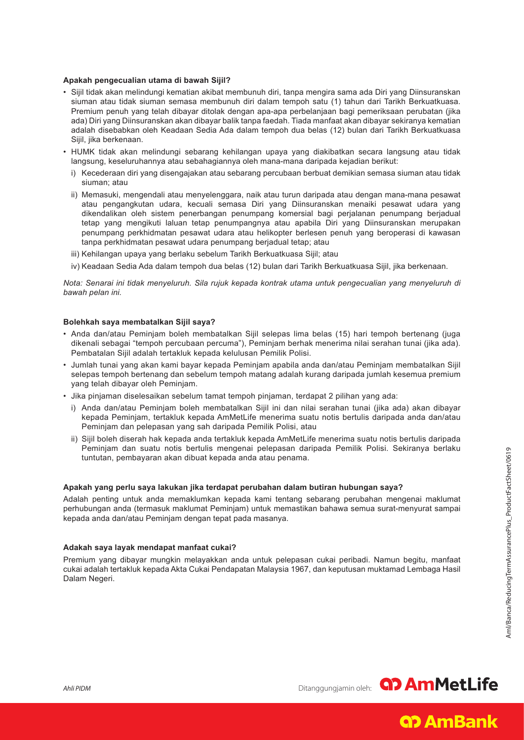### **Apakah pengecualian utama di bawah Sijil?**

- Sijil tidak akan melindungi kematian akibat membunuh diri, tanpa mengira sama ada Diri yang Diinsuranskan siuman atau tidak siuman semasa membunuh diri dalam tempoh satu (1) tahun dari Tarikh Berkuatkuasa. Premium penuh yang telah dibayar ditolak dengan apa-apa perbelanjaan bagi pemeriksaan perubatan (jika ada) Diri yang Diinsuranskan akan dibayar balik tanpa faedah. Tiada manfaat akan dibayar sekiranya kematian adalah disebabkan oleh Keadaan Sedia Ada dalam tempoh dua belas (12) bulan dari Tarikh Berkuatkuasa Sijil, jika berkenaan.
- HUMK tidak akan melindungi sebarang kehilangan upaya yang diakibatkan secara langsung atau tidak langsung, keseluruhannya atau sebahagiannya oleh mana-mana daripada kejadian berikut:
	- i) Kecederaan diri yang disengajakan atau sebarang percubaan berbuat demikian semasa siuman atau tidak siuman; atau
	- ii) Memasuki, mengendali atau menyelenggara, naik atau turun daripada atau dengan mana-mana pesawat atau pengangkutan udara, kecuali semasa Diri yang Diinsuranskan menaiki pesawat udara yang dikendalikan oleh sistem penerbangan penumpang komersial bagi perjalanan penumpang berjadual tetap yang mengikuti laluan tetap penumpangnya atau apabila Diri yang Diinsuranskan merupakan penumpang perkhidmatan pesawat udara atau helikopter berlesen penuh yang beroperasi di kawasan tanpa perkhidmatan pesawat udara penumpang berjadual tetap; atau
	- iii) Kehilangan upaya yang berlaku sebelum Tarikh Berkuatkuasa Sijil; atau
	- iv) Keadaan Sedia Ada dalam tempoh dua belas (12) bulan dari Tarikh Berkuatkuasa Sijil, jika berkenaan.

*Nota: Senarai ini tidak menyeluruh. Sila rujuk kepada kontrak utama untuk pengecualian yang menyeluruh di bawah pelan ini.*

#### **Bolehkah saya membatalkan Sijil saya?**

- Anda dan/atau Peminjam boleh membatalkan Sijil selepas lima belas (15) hari tempoh bertenang (juga dikenali sebagai "tempoh percubaan percuma"), Peminjam berhak menerima nilai serahan tunai (jika ada). Pembatalan Sijil adalah tertakluk kepada kelulusan Pemilik Polisi.
- Jumlah tunai yang akan kami bayar kepada Peminjam apabila anda dan/atau Peminjam membatalkan Sijil selepas tempoh bertenang dan sebelum tempoh matang adalah kurang daripada jumlah kesemua premium yang telah dibayar oleh Peminjam.
- Jika pinjaman diselesaikan sebelum tamat tempoh pinjaman, terdapat 2 pilihan yang ada:
	- i) Anda dan/atau Peminjam boleh membatalkan Sijil ini dan nilai serahan tunai (jika ada) akan dibayar kepada Peminjam, tertakluk kepada AmMetLife menerima suatu notis bertulis daripada anda dan/atau Peminjam dan pelepasan yang sah daripada Pemilik Polisi, atau
	- ii) Sijil boleh diserah hak kepada anda tertakluk kepada AmMetLife menerima suatu notis bertulis daripada Peminjam dan suatu notis bertulis mengenai pelepasan daripada Pemilik Polisi. Sekiranya berlaku tuntutan, pembayaran akan dibuat kepada anda atau penama.

#### **Apakah yang perlu saya lakukan jika terdapat perubahan dalam butiran hubungan saya?**

Adalah penting untuk anda memaklumkan kepada kami tentang sebarang perubahan mengenai maklumat perhubungan anda (termasuk maklumat Peminjam) untuk memastikan bahawa semua surat-menyurat sampai kepada anda dan/atau Peminjam dengan tepat pada masanya.

#### **Adakah saya layak mendapat manfaat cukai?**

Premium yang dibayar mungkin melayakkan anda untuk pelepasan cukai peribadi. Namun begitu, manfaat cukai adalah tertakluk kepada Akta Cukai Pendapatan Malaysia 1967, dan keputusan muktamad Lembaga Hasil Dalam Negeri.

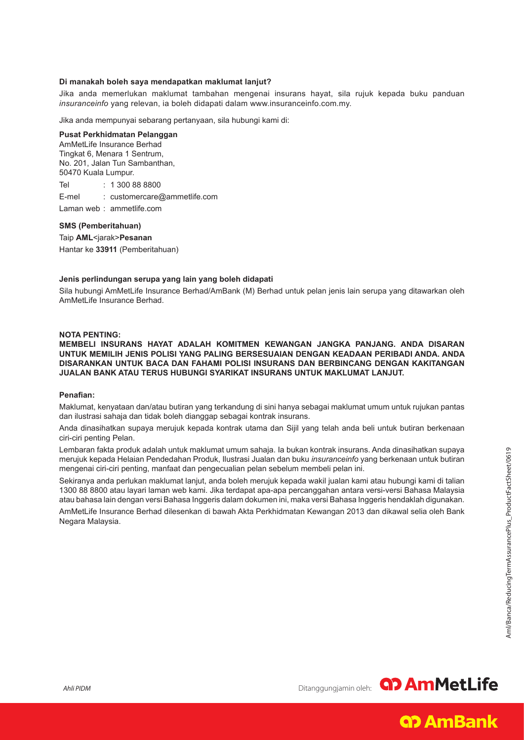# **Di manakah boleh saya mendapatkan maklumat lanjut?**

Jika anda memerlukan maklumat tambahan mengenai insurans hayat, sila rujuk kepada buku panduan *insuranceinfo* yang relevan, ia boleh didapati dalam www.insuranceinfo.com.my.

Jika anda mempunyai sebarang pertanyaan, sila hubungi kami di:

#### **Pusat Perkhidmatan Pelanggan**

AmMetLife Insurance Berhad Tingkat 6, Menara 1 Sentrum, No. 201, Jalan Tun Sambanthan, 50470 Kuala Lumpur.

Tel : 1 300 88 8800

E-mel : customercare@ammetlife.com

Laman web : ammetlife.com

**SMS (Pemberitahuan)**

Taip **AML**<jarak>**Pesanan** Hantar ke **33911** (Pemberitahuan)

#### **Jenis perlindungan serupa yang lain yang boleh didapati**

Sila hubungi AmMetLife Insurance Berhad/AmBank (M) Berhad untuk pelan jenis lain serupa yang ditawarkan oleh AmMetLife Insurance Berhad.

#### **NOTA PENTING:**

**MEMBELI INSURANS HAYAT ADALAH KOMITMEN KEWANGAN JANGKA PANJANG. ANDA DISARAN UNTUK MEMILIH JENIS POLISI YANG PALING BERSESUAIAN DENGAN KEADAAN PERIBADI ANDA. ANDA DISARANKAN UNTUK BACA DAN FAHAMI POLISI INSURANS DAN BERBINCANG DENGAN KAKITANGAN JUALAN BANK ATAU TERUS HUBUNGI SYARIKAT INSURANS UNTUK MAKLUMAT LANJUT.** 

#### **Penafian:**

Maklumat, kenyataan dan/atau butiran yang terkandung di sini hanya sebagai maklumat umum untuk rujukan pantas dan ilustrasi sahaja dan tidak boleh dianggap sebagai kontrak insurans.

Anda dinasihatkan supaya merujuk kepada kontrak utama dan Sijil yang telah anda beli untuk butiran berkenaan ciri-ciri penting Pelan.

Lembaran fakta produk adalah untuk maklumat umum sahaja. Ia bukan kontrak insurans. Anda dinasihatkan supaya merujuk kepada Helaian Pendedahan Produk, Ilustrasi Jualan dan buku *insuranceinfo* yang berkenaan untuk butiran mengenai ciri-ciri penting, manfaat dan pengecualian pelan sebelum membeli pelan ini.

Sekiranya anda perlukan maklumat lanjut, anda boleh merujuk kepada wakil jualan kami atau hubungi kami di talian 1300 88 8800 atau layari laman web kami. Jika terdapat apa-apa percanggahan antara versi-versi Bahasa Malaysia atau bahasa lain dengan versi Bahasa Inggeris dalam dokumen ini, maka versi Bahasa Inggeris hendaklah digunakan.

AmMetLife Insurance Berhad dilesenkan di bawah Akta Perkhidmatan Kewangan 2013 dan dikawal selia oleh Bank Negara Malaysia.



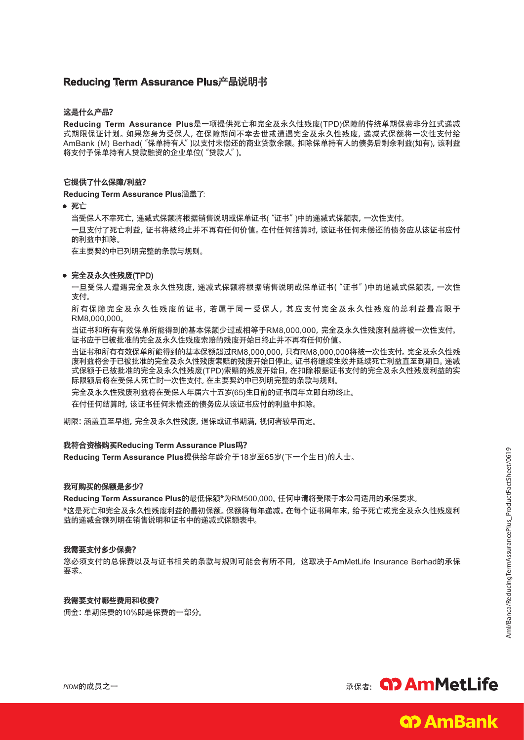# **Reducing Term Assurance Plus**产品说明书

# 这是什么产品?

**Reducing Term Assurance Plus**是一项提供死亡和完全及永久性残废(TPD)保障的传统单期保费非分红式递减 式期限保证计划。如果您身为受保人,在保障期间不幸去世或遭遇完全及永久性残废,递减式保额将一次性支付给 AmBank (M) Berhad("保单持有人")以支付未偿还的商业贷款余额。扣除保单持有人的债务后剩余利益(如有),该利益 将支付予保单持有人贷款融资的企业单位("贷款人")。

## 它提供了什么保障/利益?

**Reducing Term Assurance Plus**涵盖了:

• 死亡

 当受保人不幸死亡,递减式保额将根据销售说明或保单证书("证书")中的递减式保额表,一次性支付。

一旦支付了死亡利益,证书将被终止并不再有任何价值。在付任何结算时,该证书任何未偿还的债务应从该证书应付 的利益中扣除。

 在主要契约中已列明完整的条款与规则。

## • 完全及永久性残废(TPD)

一旦受保人遭遇完全及永久性残废,递减式保额将根据销售说明或保单证书("证书")中的递减式保额表,一次性 支付。

所有保障完全及永久性残废的证书,若属于同一受保人,其应支付完全及永久性残废的总利益最高限于 RM8,000,000。

当证书和所有有效保单所能得到的基本保额少过或相等于RM8,000,000,完全及永久性残废利益将被一次性支付。 证书应于已被批准的完全及永久性残废索赔的残废开始日终止并不再有任何价值。

当证书和所有有效保单所能得到的基本保额超过RM8,000,000,只有RM8,000,000将被一次性支付。完全及永久性残 废利益将会于已被批准的完全及永久性残废索赔的残废开始日停止。证书将继续生效并延续死亡利益直至到期日。递减 式保额于已被批准的完全及永久性残废(TPD)索赔的残废开始日,在扣除根据证书支付的完全及永久性残废利益的实 际限额后将在受保人死亡时一次性支付。在主要契约中已列明完整的条款与规则。

完全及永久性残废利益将在受保人年届六十五岁(65)生日前的证书周年立即自动终止。

在付任何结算时,该证书任何未偿还的债务应从该证书应付的利益中扣除。

期限:涵盖直至早逝,完全及永久性残废,退保或证书期满,视何者较早而定。

#### 我符合资格购买**Reducing Term Assurance Plus**吗?

**Reducing Term Assurance Plus**提供给年龄介于18岁至65岁(下一个生日)的人士。

#### 我可购买的保额是多少?

**Reducing Term Assurance Plus**的最低保额\*为RM500,000。任何申请将受限于本公司适用的承保要求。 \*这是死亡和完全及永久性残废利益的最初保额。保额将每年递减。在每个证书周年末,给予死亡或完全及永久性残废利 益的递减金额列明在销售说明和证书中的递减式保额表中。

#### 我需要支付多少保费?

您必须支付的总保费以及与证书相关的条款与规则可能会有所不同,这取决于AmMetLife Insurance Berhad的承保 要求。

# 我需要支付哪些费用和收费?

佣金:单期保费的10%即是保费的一部分。



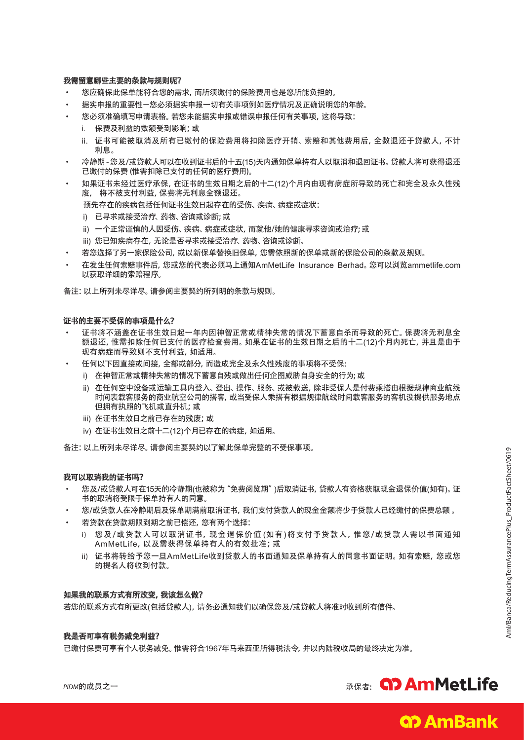## 我需留意哪些主要的条款与规则呢?

- 您应确保此保单能符合您的需求,而所须缴付的保险费用也是您所能负担的。
- 据实申报的重要性一您必须据实申报一切有关事项例如医疗情况及正确说明您的年龄。
- 您必须准确填写申请表格。 若您未能据实申报或错误申报任何有关事项, 这将导致:
	- i. 保费及利益的数额受到影响;或
	- ii. 证书可能被取消及所有已缴付的保险费用将扣除医疗开销、索赔和其他费用后,全数退还于贷款人,不计 利息。
- 冷静期-您及/或贷款人可以在收到证书后的十五(15)天内通知保单持有人以取消和退回证书。 贷款人将可获得退还 已缴付的保费 (惟需扣除已支付的任何的医疗费用)。
- 如果证书未经过医疗承保,在证书的生效日期之后的十二(12)个月内由现有病症所导致的死亡和完全及永久性残 废, 将不被支付利益,保费将无利息全额退还。

预先存在的疾病包括任何证书生效日起存在的受伤、疾病、病症或症状:

- i) 已寻求或接受治疗、药物、咨询或诊断; 或
- ii) 一个正常谨慎的人因受伤、疾病、病症或症状,而就他/她的健康寻求咨询或治疗; 或
- iii) 您已知疾病存在, 无论是否寻求或接受治疗、药物、 咨询或诊断。
- 若您选择了另一家保险公司, 或以新保单替换旧保单, 您需依照新的保单或新的保险公司的条款及规则。
- 在发生任何索赔事件后,您或您的代表必须马上通知AmMetLife Insurance Berhad。您可以浏览ammetlife.com 以获取详细的索赔程序。

备注:以上所列未尽详尽。请参阅主要契约所列明的条款与规则。

#### 证书的主要不受保的事项是什么?

- 证书将不涵盖在证书生效日起一年内因神智正常或精神失常的情况下蓄意自杀而导致的死亡。保费将无利息全 额退还,惟需扣除任何已支付的医疗检查费用。如果在证书的生效日期之后的十二(12)个月内死亡,并且是由于 现有病症而导致则不支付利益,如适用。
- 任何以下因直接或间接,全部或部分,而造成完全及永久性残废的事项将不受保:
	- i) 在神智正常或精神失常的情况下蓄意自残或做出任何企图威胁自身安全的行为; 或
	- ii) 在任何空中设备或运输工具内登入、登出、操作、服务、或被载送,除非受保人是付费乘搭由根据规律商业航线 时间表载客服务的商业航空公司的搭客,或当受保人乘搭有根据规律航线时间载客服务的客机没提供服务地点 但拥有执照的飞机或直升机;或
	- iii) 在证书生效日之前已存在的残废;或
	- iv) 在证书生效日之前十二(12)个月已存在的病症,如适用。

备注:以上所列未尽详尽。请参阅主要契约以了解此保单完整的不受保事项。

#### 我可以取消我的证书吗?

- 您及/或贷款人可在15天的冷静期(也被称为"免费阅览期")后取消证书,贷款人有资格获取现金退保价值(如有)。证 书的取消将受限于保单持有人的同意。
- 您/或贷款人在冷静期后及保单期满前取消证书,我们支付贷款人的现金金额将少于贷款人已经缴付的保费总额。
- 若贷款在贷款期限到期之前已偿还,您有两个选择:
	- i) 您 及/或贷款人可以取消证书,现金退保价值(如有)将支付予贷款人,惟您/或贷款人需以书面通知 AmMetLife,以及需获得保单持有人的有效批准;或
	- ii) 证书将转给予您一旦AmMetLife收到贷款人的书面通知及保单持有人的同意书面证明。如有索赔,您或您 的提名人将收到付款。

#### 如果我的联系方式有所改变,我该怎么做?

若您的联系方式有所更改(包括贷款人),请务必通知我们以确保您及/或贷款人将准时收到所有信件。

#### 我是否可享有税务减免利益?

已缴付保费可享有个人税务减免。惟需符合1967年马来西亚所得税法令,并以内陆税收局的最终决定为准。





**Q? AmBank**